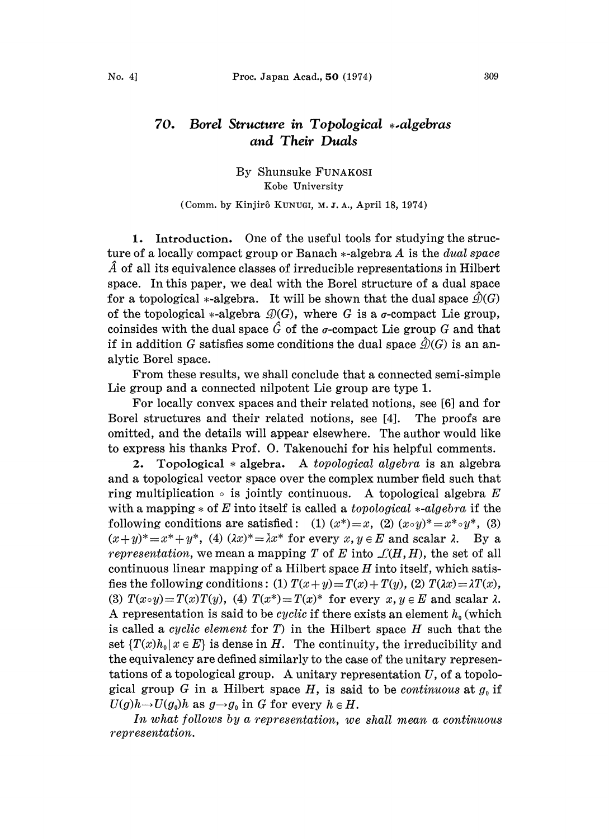## 70. Borel Structure in Topological \*-algebras and Their Duals

By Shunsuke FUNAKOSI Kobe University

(Comm. by Kinjir6 KUNUCI, M. Z. A., April 18, 1974)

1. Introduction. One of the useful tools for studying the structure of a locally compact group or Banach  $*$ -algebra A is the *dual space*  $\hat{A}$  of all its equivalence classes of irreducible representations in Hilbert space. In this paper, we deal with the Borel structure of a dual space for a topological \*-algebra. It will be shown that the dual space  $\hat{\mathcal{D}}(G)$ of the topological \*-algebra  $\mathcal{D}(G)$ , where G is a  $\sigma$ -compact Lie group, coinsides with the dual space  $\hat{G}$  of the *o*-compact Lie group G and that if in addition G satisfies some conditions the dual space  $\hat{\mathcal{Q}}(G)$  is an analytic Borel space.

From these results, we shall conclude that a connected semi-simple Lie group and a connected nilpotent Lie group are type 1.

For locally convex spaces and their related notions, see [6] and for Borel structures and their related notions, see [4]. The proofs are omitted, and the details will appear elsewhere. The author would like to express his thanks Prof. 0. Takenouchi for his helpful comments.

2. Topological  $*$  algebra. A topological algebra is an algebra and a topological vector space over the complex number field such that ring multiplication  $\circ$  is jointly continuous. A topological algebra E with a mapping  $*$  of E into itself is called a *topological*  $*$ -algebra if the following conditions are satisfied: (1)  $(x^*)=x$ , (2)  $(x \circ y)^* = x^* \circ y^*$ , (3)  $(x+y)^* = x^* + y^*$ , (4)  $(\lambda x)^* = \overline{\lambda}x^*$  for every  $x, y \in E$  and scalar  $\lambda$ . By a representation, we mean a mapping T of E into  $\mathcal{L}(H, H)$ , the set of all continuous linear mapping of a Hilbert space  $H$  into itself, which satisfies the following conditions: (1)  $T(x+y)=T(x)+T(y)$ , (2)  $T(\lambda x)=\lambda T(x)$ , (3)  $T(x \circ y) = T(x)T(y)$ , (4)  $T(x^*) = T(x)^*$  for every  $x, y \in E$  and scalar  $\lambda$ . A representation is said to be *cyclic* if there exists an element  $h_0$  (which is called a *cyclic element* for  $T$ ) in the Hilbert space  $H$  such that the set  $\{T(x)h_0|x\in E\}$  is dense in H. The continuity, the irreducibility and the equivalency are defined similarly to the case of the unitary representations of a topological group. A unitary representation  $U$ , of a topological group G in a Hilbert space H, is said to be *continuous* at  $g_0$  if  $U(g)h\rightarrow U(g_0)h$  as  $g\rightarrow g_0$  in G for every  $h\in H$ .

In what follows by a representation, we shall mean a continuous representation.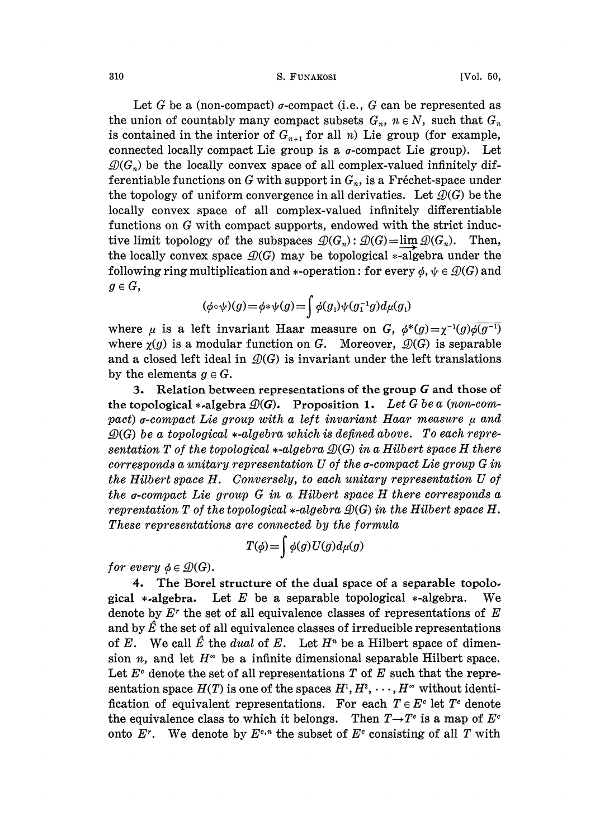310 S. FUNAKOSI [Vol. 50,

Let G be a (non-compact)  $\sigma$ -compact (i.e., G can be represented as the union of countably many compact subsets  $G_n$ ,  $n \in N$ , such that  $G_n$ is contained in the interior of  $G_{n+1}$  for all n) Lie group (for example, connected locally compact Lie group is a  $\sigma$ -compact Lie group). Let  $\mathcal{Q}(G_n)$  be the locally convex space of all complex-valued infinitely differentiable functions on G with support in  $G_n$ , is a Fréchet-space under the topology of uniform convergence in all derivaties. Let  $\mathcal{D}(G)$  be the locally convex space of all complex-valued infinitely differentiable functions on G with compact supports, endowed with the strict inductive limit topology of the subspaces  $\mathcal{D}(G_n): \mathcal{D}(G)=\lim \mathcal{D}(G_n)$ . Then, the locally convex space  $\mathcal{D}(G)$  may be topological \*-algebra under the following ring multiplication and \*-operation: for every  $\phi$ ,  $\psi \in \mathcal{D}(G)$  and  $g \in G$ ,

$$
(\phi \circ \psi)(g) = \phi * \psi(g) = \int \phi(g_1) \psi(g_1^{-1}g) d\mu(g_1)
$$

where  $\mu$  is a left invariant Haar measure on G,  $\phi^*(g) = \chi^{-1}(g)\overline{\phi(g^{-1})}$ where  $\chi(g)$  is a modular function on G. Moreover,  $\mathcal{D}(G)$  is separable and a closed left ideal in  $\mathcal{D}(G)$  is invariant under the left translations by the elements  $g \in G$ .

3. Relation between representations of the group G and those of the topological \*-algebra  $\mathcal{D}(G)$ . Proposition 1. Let G be a (non-compact)  $\sigma$ -compact Lie group with a left invariant Haar measure  $\mu$  and  $\mathcal{D}(G)$  be a topological  $*$ -algebra which is defined above. To each representation T of the topological  $*$ -algebra  $\mathcal{D}(G)$  in a Hilbert space H there  $corresponds$  a unitary representation  $U$  of the  $\sigma$ -compact Lie group  $G$  in the Hilbert space H. Conversely, to each unitary representation U of the a-compact Lie group G in <sup>a</sup> Hilbert space H there corresponds <sup>a</sup> reprentation T of the topological  $*$ -algebra  $\mathcal{D}(G)$  in the Hilbert space H. These representations are connected by the formula

$$
T(\phi) = \int \phi(g) U(g) d\mu(g)
$$

for every  $\phi \in \mathcal{D}(G)$ .

4. The Borel structure of the dual space of a separable topolo. gical \*-algebra. Let E be a separable topological \*-algebra. We denote by  $E^r$  the set of all equivalence classes of representations of  $E$ and by  $\hat{E}$  the set of all equivalence classes of irreducible representations of E. We call  $\hat{E}$  the *dual* of E. Let  $H^n$  be a Hilbert space of dimension *n*, and let  $H^{\infty}$  be a infinite dimensional separable Hilbert space. Let  $E^c$  denote the set of all representations T of E such that the representation space  $H(T)$  is one of the spaces  $H^1, H^2, \cdots, H^{\infty}$  without identification of equivalent representations. For each  $T \in E^c$  let  $T^e$  denote the equivalence class to which it belongs. Then  $T\rightarrow T^e$  is a map of  $E^c$ the equivalence class to which it belongs. Then  $I \rightarrow I^*$  is a map of E<sup>t</sup> onto E<sup>r</sup>. We denote by  $E^{c,n}$  the subset of  $E^c$  consisting of all T with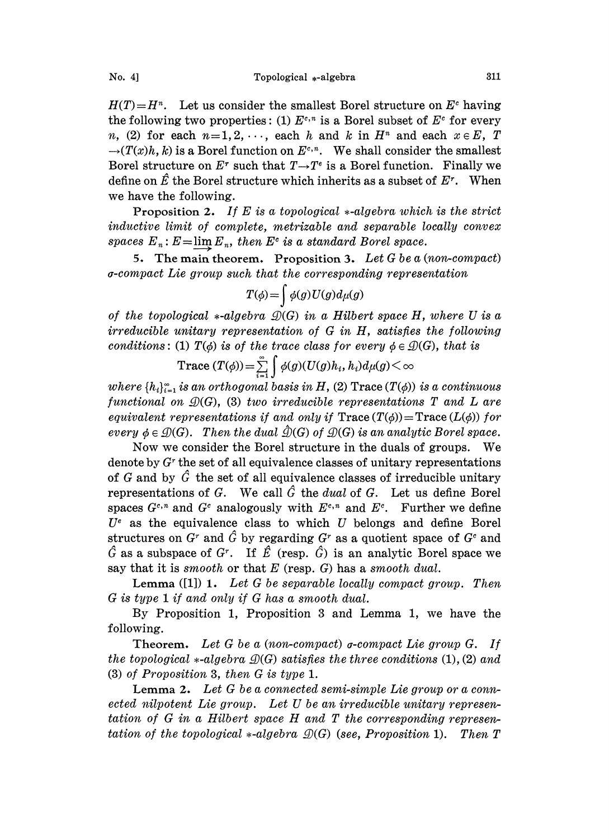$H(T)=H^{n}$ . Let us consider the smallest Borel structure on  $E^{c}$  having  $H(I) = H^{\alpha}$ . Let us consider the smallest borel structure on E<sup>t</sup> having the following two properties: (1)  $E^{c,n}$  is a Borel subset of  $E^{c}$  for every n, (2) for each  $n=1, 2, \dots$ , each h and k in  $H<sup>n</sup>$  and each  $x \in E$ , T  $\rightarrow(T(x)h, k)$  is a Borel function on  $E^{c,n}$ . We shall consider the smallest Borel structure on  $E^r$  such that  $T \rightarrow T^e$  is a Borel function. Finally we define on  $\hat{E}$  the Borel structure which inherits as a subset of  $E^r$ . When we have the following.

**Proposition 2.** If E is a topological  $*$ -algebra which is the strict inductive limit of complete, metrizable and separable locally convex spaces  $E_n$ :  $E = \lim_{n \to \infty} E_n$ , then  $E^c$  is a standard Borel space.

5. The main theorem. Proposition 3. Let  $G$  be a (non-compact) a-compact Lie group such that the corresponding representation

$$
T(\phi) = \int \phi(g) U(g) d\mu(g)
$$

of the topological  $*$ -algebra  $\mathcal{D}(G)$  in a Hilbert space H, where U is a irreducible unitary representation of G in H, satisfies the following conditions: (1)  $T(\phi)$  is of the trace class for every  $\phi \in \mathcal{D}(G)$ , that is

Trace 
$$
(T(\phi)) = \sum_{i=1}^{\infty} \int \phi(g)(U(g)h_i, h_i) d\mu(g) < \infty
$$

where  $\{h_i\}_{i=1}^{\infty}$  is an orthogonal basis in H, (2) Trace  $(T(\phi))$  is a continuous functional on  $\mathcal{D}(G)$ , (3) two irreducible representations T and L are equivalent representations if and only if  $Trace(T(\phi))=Trace(L(\phi))$  for every  $\phi \in \mathcal{D}(G)$ . Then the dual  $\mathcal{D}(G)$  of  $\mathcal{D}(G)$  is an analytic Borel space.

Now we consider the Borel structure in the duals of groups. We denote by  $G<sup>r</sup>$  the set of all equivalence classes of unitary representations of G and by  $\hat{G}$  the set of all equivalence classes of irreducible unitary representations of G. We call  $\hat{G}$  the *dual* of G. Let us define Borel representations of G. We call G the *duat* of G. Let us define borefunders  $G^{c,n}$  and  $G^c$  analogously with  $E^{c,n}$  and  $E^c$ . Further we define  $U<sup>e</sup>$  as the equivalence class to which U belongs and define Borel structures on G<sup>r</sup> and G by regarding G<sup>r</sup> as a quotient space of G<sup>c</sup> and  $\hat{G}$  as a subspace of  $G<sup>r</sup>$ . If  $\hat{E}$  (resp.  $\hat{G}$ ) is an analytic Borel space we say that it is smooth or that  $E$  (resp.  $G$ ) has a smooth dual.

**Lemma** ([1]) 1. Let G be separable locally compact group. Then G is type <sup>1</sup> if and only if G has a smooth dual.

By Proposition 1, Proposition <sup>3</sup> and Lemma 1, we have the following.

**Theorem.** Let G be a (non-compact)  $\sigma$ -compact Lie group G. If the topological  $*$ -algebra  $\mathcal{D}(G)$  satisfies the three conditions (1), (2) and (3) of Proposition 3, then G is type 1.

Lemma 2. Let G be a connected semi-simple Lie group or a connected nilpotent Lie group. Let U be an irreducible unitary representation of G in <sup>a</sup> Hilbert space H and T the corresponding representation of the topological  $*$ -algebra  $\mathcal{D}(G)$  (see, Proposition 1). Then T